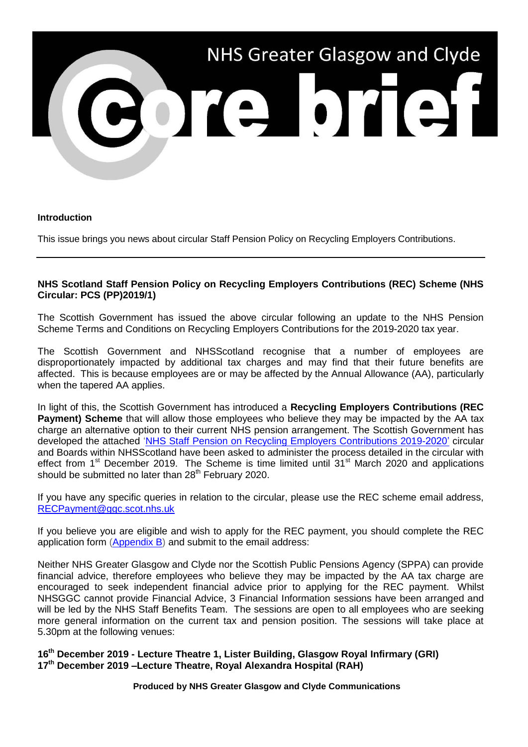

## **Introduction**

This issue brings you news about circular Staff Pension Policy on Recycling Employers Contributions.

## **NHS Scotland Staff Pension Policy on Recycling Employers Contributions (REC) Scheme (NHS Circular: PCS (PP)2019/1)**

The Scottish Government has issued the above circular following an update to the NHS Pension Scheme Terms and Conditions on Recycling Employers Contributions for the 2019-2020 tax year.

The Scottish Government and NHSScotland recognise that a number of employees are disproportionately impacted by additional tax charges and may find that their future benefits are affected. This is because employees are or may be affected by the Annual Allowance (AA), particularly when the tapered AA applies.

In light of this, the Scottish Government has introduced a **Recycling Employers Contributions (REC Payment) Scheme** that will allow those employees who believe they may be impacted by the AA tax charge an alternative option to their current NHS pension arrangement. The Scottish Government has developed the attached ['NHS Staff Pension on Recycling Employers Contributions 2019-2020'](https://www.sehd.scot.nhs.uk/pcs/PCS2019(PP)01.pdf) circular and Boards within NHSScotland have been asked to administer the process detailed in the circular with effect from 1<sup>st</sup> December 2019. The Scheme is time limited until 31<sup>st</sup> March 2020 and applications should be submitted no later than  $28<sup>th</sup>$  February 2020.

If you have any specific queries in relation to the circular, please use the REC scheme email address, [RECPayment@ggc.scot.nhs.uk](mailto:RECPayment@ggc.scot.nhs.uk)

If you believe you are eligible and wish to apply for the REC payment, you should complete the REC application form [\(Appendix B\)](http://www.staffnet.ggc.scot.nhs.uk/Corporate%20Services/Communications/Hot%20Topics/Documents/REC%20payment%20application.docx) and submit to the email address:

Neither NHS Greater Glasgow and Clyde nor the Scottish Public Pensions Agency (SPPA) can provide financial advice, therefore employees who believe they may be impacted by the AA tax charge are encouraged to seek independent financial advice prior to applying for the REC payment. Whilst NHSGGC cannot provide Financial Advice, 3 Financial Information sessions have been arranged and will be led by the NHS Staff Benefits Team. The sessions are open to all employees who are seeking more general information on the current tax and pension position. The sessions will take place at 5.30pm at the following venues:

**16th December 2019 - Lecture Theatre 1, Lister Building, Glasgow Royal Infirmary (GRI) 17th December 2019 –Lecture Theatre, Royal Alexandra Hospital (RAH)**

**Produced by NHS Greater Glasgow and Clyde Communications**